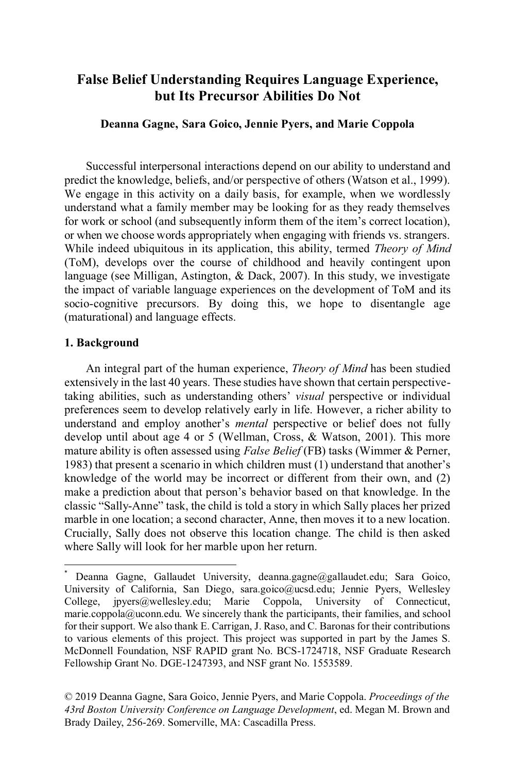# **False Belief Understanding Requires Language Experience, but Its Precursor Abilities Do Not**

## **Deanna Gagne, Sara Goico, Jennie Pyers, and Marie Coppola**

Successful interpersonal interactions depend on our ability to understand and predict the knowledge, beliefs, and/or perspective of others (Watson et al., 1999). We engage in this activity on a daily basis, for example, when we wordlessly understand what a family member may be looking for as they ready themselves for work or school (and subsequently inform them of the item's correct location), or when we choose words appropriately when engaging with friends vs. strangers. While indeed ubiquitous in its application, this ability, termed *Theory of Mind*  (ToM), develops over the course of childhood and heavily contingent upon language (see Milligan, Astington, & Dack, 2007). In this study, we investigate the impact of variable language experiences on the development of ToM and its socio-cognitive precursors. By doing this, we hope to disentangle age (maturational) and language effects.

## **1. Background**

An integral part of the human experience, *Theory of Mind* has been studied extensively in the last 40 years. These studies have shown that certain perspectivetaking abilities, such as understanding others' *visual* perspective or individual preferences seem to develop relatively early in life. However, a richer ability to understand and employ another's *mental* perspective or belief does not fully develop until about age 4 or 5 (Wellman, Cross, & Watson, 2001). This more mature ability is often assessed using *False Belief* (FB) tasks (Wimmer & Perner, 1983) that present a scenario in which children must (1) understand that another's knowledge of the world may be incorrect or different from their own, and (2) make a prediction about that person's behavior based on that knowledge. In the classic "Sally-Anne" task, the child is told a story in which Sally places her prized marble in one location; a second character, Anne, then moves it to a new location. Crucially, Sally does not observe this location change. The child is then asked where Sally will look for her marble upon her return.

© 2019 Deanna Gagne, Sara Goico, Jennie Pyers, and Marie Coppola. *Proceedings of the 43rd Boston University Conference on Language Development*, ed. Megan M. Brown and Brady Dailey, 256-269. Somerville, MA: Cascadilla Press.

Deanna Gagne, Gallaudet University, deanna.gagne@gallaudet.edu; Sara Goico, University of California, San Diego, sara.goico@ucsd.edu; Jennie Pyers, Wellesley<br>College, ipyers@wellesley.edu; Marie Coppola, University of Connecticut, College, jpyers@wellesley.edu; Marie Coppola, University of Connecticut, marie.coppola@uconn.edu. We sincerely thank the participants, their families, and school for their support. We also thank E. Carrigan, J. Raso, and C. Baronas for their contributions to various elements of this project. This project was supported in part by the James S. McDonnell Foundation, NSF RAPID grant No. BCS-1724718, NSF Graduate Research Fellowship Grant No. DGE-1247393, and NSF grant No. 1553589.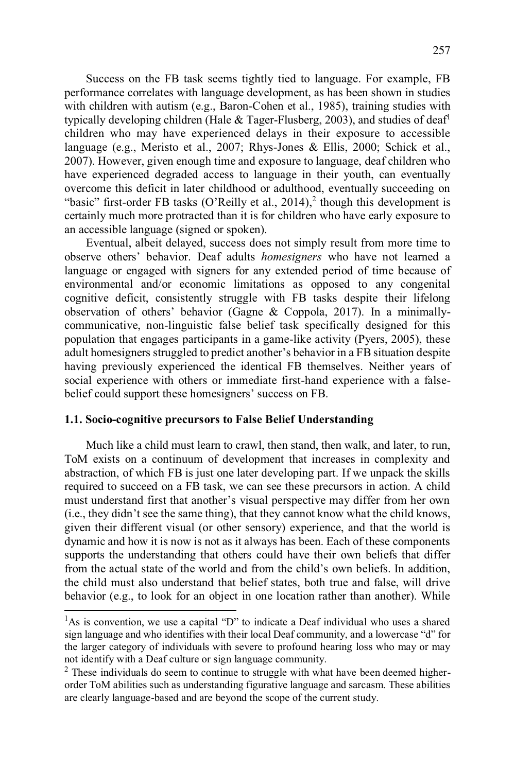Success on the FB task seems tightly tied to language. For example, FB performance correlates with language development, as has been shown in studies with children with autism (e.g., Baron-Cohen et al., 1985), training studies with typically developing children (Hale  $& \text{Tager-Flusberg, 2003}$ ), and studies of deaf<sup>1</sup> children who may have experienced delays in their exposure to accessible language (e.g., Meristo et al., 2007; Rhys-Jones & Ellis, 2000; Schick et al., 2007). However, given enough time and exposure to language, deaf children who have experienced degraded access to language in their youth, can eventually overcome this deficit in later childhood or adulthood, eventually succeeding on "basic" first-order FB tasks (O'Reilly et al., 2014),<sup>2</sup> though this development is certainly much more protracted than it is for children who have early exposure to an accessible language (signed or spoken).

Eventual, albeit delayed, success does not simply result from more time to observe others' behavior. Deaf adults *homesigners* who have not learned a language or engaged with signers for any extended period of time because of environmental and/or economic limitations as opposed to any congenital cognitive deficit, consistently struggle with FB tasks despite their lifelong observation of others' behavior (Gagne & Coppola, 2017). In a minimallycommunicative, non-linguistic false belief task specifically designed for this population that engages participants in a game-like activity (Pyers, 2005), these adult homesigners struggled to predict another's behavior in a FB situation despite having previously experienced the identical FB themselves. Neither years of social experience with others or immediate first-hand experience with a falsebelief could support these homesigners' success on FB.

## **1.1. Socio-cognitive precursors to False Belief Understanding**

Much like a child must learn to crawl, then stand, then walk, and later, to run, ToM exists on a continuum of development that increases in complexity and abstraction, of which FB is just one later developing part. If we unpack the skills required to succeed on a FB task, we can see these precursors in action. A child must understand first that another's visual perspective may differ from her own (i.e., they didn't see the same thing), that they cannot know what the child knows, given their different visual (or other sensory) experience, and that the world is dynamic and how it is now is not as it always has been. Each of these components supports the understanding that others could have their own beliefs that differ from the actual state of the world and from the child's own beliefs. In addition, the child must also understand that belief states, both true and false, will drive behavior (e.g., to look for an object in one location rather than another). While

<sup>&</sup>lt;sup>1</sup>As is convention, we use a capital "D" to indicate a Deaf individual who uses a shared sign language and who identifies with their local Deaf community, and a lowercase "d" for the larger category of individuals with severe to profound hearing loss who may or may not identify with a Deaf culture or sign language community.

 $2$  These individuals do seem to continue to struggle with what have been deemed higherorder ToM abilities such as understanding figurative language and sarcasm. These abilities are clearly language-based and are beyond the scope of the current study.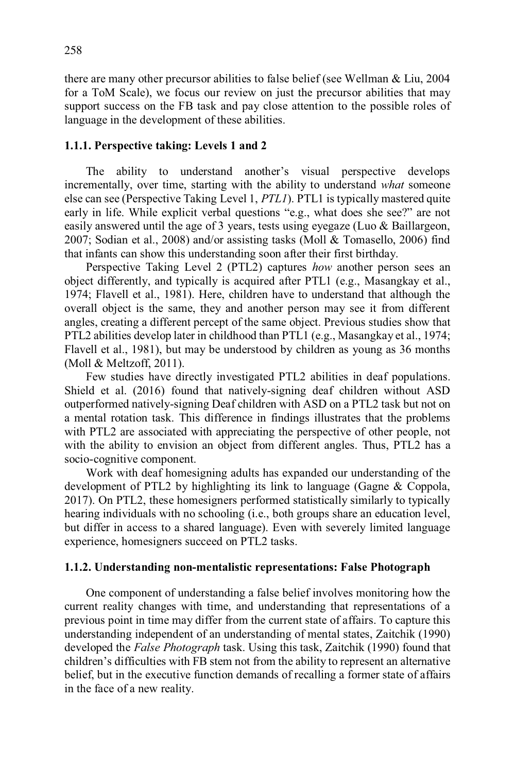there are many other precursor abilities to false belief (see Wellman & Liu, 2004 for a ToM Scale), we focus our review on just the precursor abilities that may support success on the FB task and pay close attention to the possible roles of language in the development of these abilities.

## **1.1.1. Perspective taking: Levels 1 and 2**

 The ability to understand another's visual perspective develops incrementally, over time, starting with the ability to understand *what* someone else can see (Perspective Taking Level 1, *PTL1*). PTL1 is typically mastered quite early in life. While explicit verbal questions "e.g., what does she see?" are not easily answered until the age of 3 years, tests using eyegaze (Luo & Baillargeon, 2007; Sodian et al., 2008) and/or assisting tasks (Moll & Tomasello, 2006) find that infants can show this understanding soon after their first birthday.

 Perspective Taking Level 2 (PTL2) captures *how* another person sees an object differently, and typically is acquired after PTL1 (e.g., Masangkay et al., 1974; Flavell et al., 1981). Here, children have to understand that although the overall object is the same, they and another person may see it from different angles, creating a different percept of the same object. Previous studies show that PTL2 abilities develop later in childhood than PTL1 (e.g., Masangkay et al., 1974; Flavell et al., 1981), but may be understood by children as young as 36 months (Moll & Meltzoff, 2011).

Few studies have directly investigated PTL2 abilities in deaf populations. Shield et al. (2016) found that natively-signing deaf children without ASD outperformed natively-signing Deaf children with ASD on a PTL2 task but not on a mental rotation task. This difference in findings illustrates that the problems with PTL2 are associated with appreciating the perspective of other people, not with the ability to envision an object from different angles. Thus, PTL2 has a socio-cognitive component.

Work with deaf homesigning adults has expanded our understanding of the development of PTL2 by highlighting its link to language (Gagne & Coppola, 2017). On PTL2, these homesigners performed statistically similarly to typically hearing individuals with no schooling (i.e., both groups share an education level, but differ in access to a shared language). Even with severely limited language experience, homesigners succeed on PTL2 tasks.

#### **1.1.2. Understanding non-mentalistic representations: False Photograph**

One component of understanding a false belief involves monitoring how the current reality changes with time, and understanding that representations of a previous point in time may differ from the current state of affairs. To capture this understanding independent of an understanding of mental states, Zaitchik (1990) developed the *False Photograph* task. Using this task, Zaitchik (1990) found that children's difficulties with FB stem not from the ability to represent an alternative belief, but in the executive function demands of recalling a former state of affairs in the face of a new reality.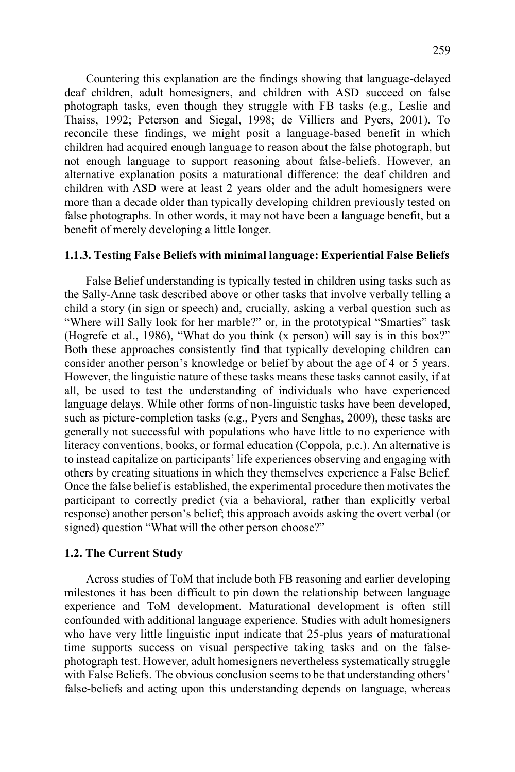Countering this explanation are the findings showing that language-delayed deaf children, adult homesigners, and children with ASD succeed on false photograph tasks, even though they struggle with FB tasks (e.g., Leslie and Thaiss, 1992; Peterson and Siegal, 1998; de Villiers and Pyers, 2001). To reconcile these findings, we might posit a language-based benefit in which children had acquired enough language to reason about the false photograph, but not enough language to support reasoning about false-beliefs. However, an alternative explanation posits a maturational difference: the deaf children and children with ASD were at least 2 years older and the adult homesigners were more than a decade older than typically developing children previously tested on false photographs. In other words, it may not have been a language benefit, but a benefit of merely developing a little longer.

## **1.1.3. Testing False Beliefs with minimal language: Experiential False Beliefs**

 False Belief understanding is typically tested in children using tasks such as the Sally-Anne task described above or other tasks that involve verbally telling a child a story (in sign or speech) and, crucially, asking a verbal question such as "Where will Sally look for her marble?" or, in the prototypical "Smarties" task (Hogrefe et al., 1986), "What do you think (x person) will say is in this box?" Both these approaches consistently find that typically developing children can consider another person's knowledge or belief by about the age of 4 or 5 years. However, the linguistic nature of these tasks means these tasks cannot easily, if at all, be used to test the understanding of individuals who have experienced language delays. While other forms of non-linguistic tasks have been developed, such as picture-completion tasks (e.g., Pyers and Senghas, 2009), these tasks are generally not successful with populations who have little to no experience with literacy conventions, books, or formal education (Coppola, p.c.). An alternative is to instead capitalize on participants' life experiences observing and engaging with others by creating situations in which they themselves experience a False Belief. Once the false belief is established, the experimental procedure then motivates the participant to correctly predict (via a behavioral, rather than explicitly verbal response) another person's belief; this approach avoids asking the overt verbal (or signed) question "What will the other person choose?"

#### **1.2. The Current Study**

 Across studies of ToM that include both FB reasoning and earlier developing milestones it has been difficult to pin down the relationship between language experience and ToM development. Maturational development is often still confounded with additional language experience. Studies with adult homesigners who have very little linguistic input indicate that 25-plus years of maturational time supports success on visual perspective taking tasks and on the falsephotograph test. However, adult homesigners nevertheless systematically struggle with False Beliefs. The obvious conclusion seems to be that understanding others' false-beliefs and acting upon this understanding depends on language, whereas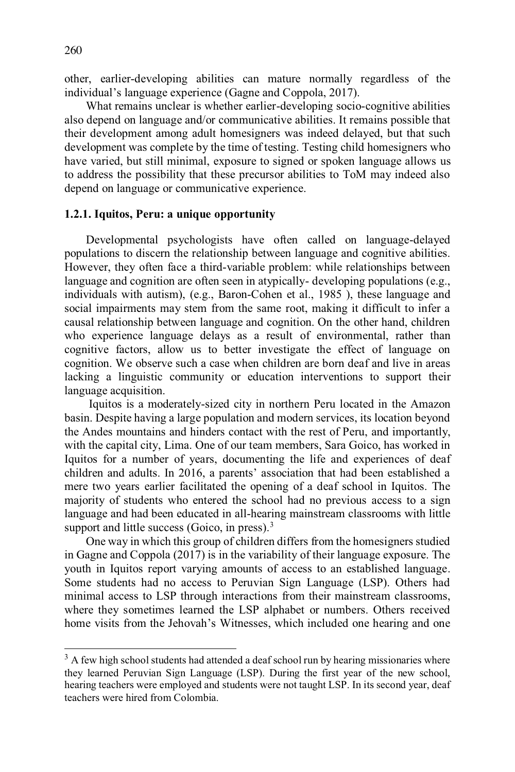other, earlier-developing abilities can mature normally regardless of the individual's language experience (Gagne and Coppola, 2017).

 What remains unclear is whether earlier-developing socio-cognitive abilities also depend on language and/or communicative abilities. It remains possible that their development among adult homesigners was indeed delayed, but that such development was complete by the time of testing. Testing child homesigners who have varied, but still minimal, exposure to signed or spoken language allows us to address the possibility that these precursor abilities to ToM may indeed also depend on language or communicative experience.

## **1.2.1. Iquitos, Peru: a unique opportunity**

Developmental psychologists have often called on language-delayed populations to discern the relationship between language and cognitive abilities. However, they often face a third-variable problem: while relationships between language and cognition are often seen in atypically- developing populations (e.g., individuals with autism), (e.g., Baron-Cohen et al., 1985 ), these language and social impairments may stem from the same root, making it difficult to infer a causal relationship between language and cognition. On the other hand, children who experience language delays as a result of environmental, rather than cognitive factors, allow us to better investigate the effect of language on cognition. We observe such a case when children are born deaf and live in areas lacking a linguistic community or education interventions to support their language acquisition.

 Iquitos is a moderately-sized city in northern Peru located in the Amazon basin. Despite having a large population and modern services, its location beyond the Andes mountains and hinders contact with the rest of Peru, and importantly, with the capital city, Lima. One of our team members, Sara Goico, has worked in Iquitos for a number of years, documenting the life and experiences of deaf children and adults. In 2016, a parents' association that had been established a mere two years earlier facilitated the opening of a deaf school in Iquitos. The majority of students who entered the school had no previous access to a sign language and had been educated in all-hearing mainstream classrooms with little support and little success (Goico, in press).<sup>3</sup>

 One way in which this group of children differs from the homesigners studied in Gagne and Coppola (2017) is in the variability of their language exposure. The youth in Iquitos report varying amounts of access to an established language. Some students had no access to Peruvian Sign Language (LSP). Others had minimal access to LSP through interactions from their mainstream classrooms, where they sometimes learned the LSP alphabet or numbers. Others received home visits from the Jehovah's Witnesses, which included one hearing and one

 $\overline{a}$ 

<sup>&</sup>lt;sup>3</sup> A few high school students had attended a deaf school run by hearing missionaries where they learned Peruvian Sign Language (LSP). During the first year of the new school, hearing teachers were employed and students were not taught LSP. In its second year, deaf teachers were hired from Colombia.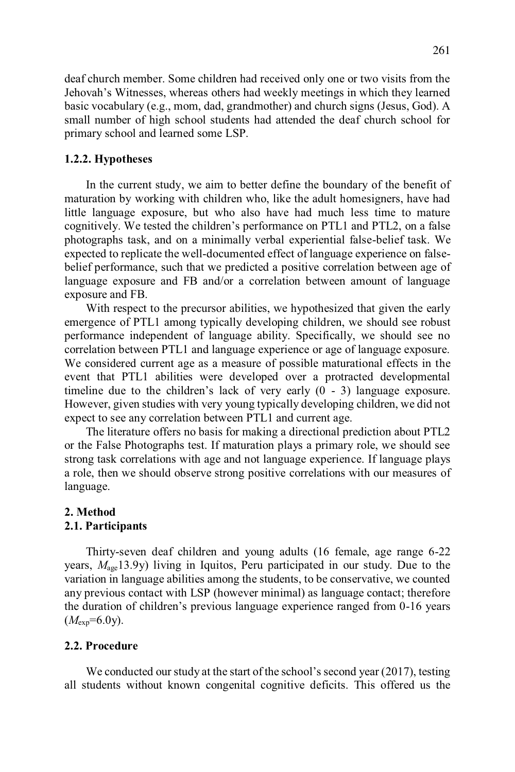deaf church member. Some children had received only one or two visits from the Jehovah's Witnesses, whereas others had weekly meetings in which they learned basic vocabulary (e.g., mom, dad, grandmother) and church signs (Jesus, God). A small number of high school students had attended the deaf church school for primary school and learned some LSP.

#### **1.2.2. Hypotheses**

In the current study, we aim to better define the boundary of the benefit of maturation by working with children who, like the adult homesigners, have had little language exposure, but who also have had much less time to mature cognitively. We tested the children's performance on PTL1 and PTL2, on a false photographs task, and on a minimally verbal experiential false-belief task. We expected to replicate the well-documented effect of language experience on falsebelief performance, such that we predicted a positive correlation between age of language exposure and FB and/or a correlation between amount of language exposure and FB.

 With respect to the precursor abilities, we hypothesized that given the early emergence of PTL1 among typically developing children, we should see robust performance independent of language ability. Specifically, we should see no correlation between PTL1 and language experience or age of language exposure. We considered current age as a measure of possible maturational effects in the event that PTL1 abilities were developed over a protracted developmental timeline due to the children's lack of very early (0 - 3) language exposure. However, given studies with very young typically developing children, we did not expect to see any correlation between PTL1 and current age.

The literature offers no basis for making a directional prediction about PTL2 or the False Photographs test. If maturation plays a primary role, we should see strong task correlations with age and not language experience. If language plays a role, then we should observe strong positive correlations with our measures of language.

#### **2. Method 2.1. Participants**

 Thirty-seven deaf children and young adults (16 female, age range 6-22 years,  $M_{\text{age}}$ 13.9y) living in Iquitos, Peru participated in our study. Due to the variation in language abilities among the students, to be conservative, we counted any previous contact with LSP (however minimal) as language contact; therefore the duration of children's previous language experience ranged from 0-16 years  $(M_{exp}=6.0y)$ .

## **2.2. Procedure**

 We conducted our study at the start of the school's second year (2017), testing all students without known congenital cognitive deficits. This offered us the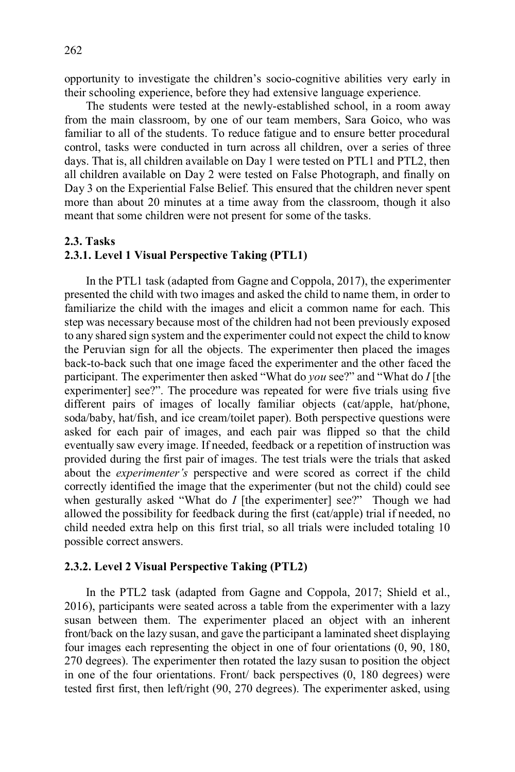opportunity to investigate the children's socio-cognitive abilities very early in their schooling experience, before they had extensive language experience.

 The students were tested at the newly-established school, in a room away from the main classroom, by one of our team members, Sara Goico, who was familiar to all of the students. To reduce fatigue and to ensure better procedural control, tasks were conducted in turn across all children, over a series of three days. That is, all children available on Day 1 were tested on PTL1 and PTL2, then all children available on Day 2 were tested on False Photograph, and finally on Day 3 on the Experiential False Belief. This ensured that the children never spent more than about 20 minutes at a time away from the classroom, though it also meant that some children were not present for some of the tasks.

## **2.3. Tasks**

## **2.3.1. Level 1 Visual Perspective Taking (PTL1)**

In the PTL1 task (adapted from Gagne and Coppola, 2017), the experimenter presented the child with two images and asked the child to name them, in order to familiarize the child with the images and elicit a common name for each. This step was necessary because most of the children had not been previously exposed to any shared sign system and the experimenter could not expect the child to know the Peruvian sign for all the objects. The experimenter then placed the images back-to-back such that one image faced the experimenter and the other faced the participant. The experimenter then asked "What do *you* see?" and "What do *I* [the experimenter] see?". The procedure was repeated for were five trials using five different pairs of images of locally familiar objects (cat/apple, hat/phone, soda/baby, hat/fish, and ice cream/toilet paper). Both perspective questions were asked for each pair of images, and each pair was flipped so that the child eventually saw every image. If needed, feedback or a repetition of instruction was provided during the first pair of images. The test trials were the trials that asked about the *experimenter's* perspective and were scored as correct if the child correctly identified the image that the experimenter (but not the child) could see when gesturally asked "What do *I* [the experimenter] see?" Though we had allowed the possibility for feedback during the first (cat/apple) trial if needed, no child needed extra help on this first trial, so all trials were included totaling 10 possible correct answers.

## **2.3.2. Level 2 Visual Perspective Taking (PTL2)**

In the PTL2 task (adapted from Gagne and Coppola, 2017; Shield et al., 2016), participants were seated across a table from the experimenter with a lazy susan between them. The experimenter placed an object with an inherent front/back on the lazy susan, and gave the participant a laminated sheet displaying four images each representing the object in one of four orientations (0, 90, 180, 270 degrees). The experimenter then rotated the lazy susan to position the object in one of the four orientations. Front/ back perspectives (0, 180 degrees) were tested first first, then left/right (90, 270 degrees). The experimenter asked, using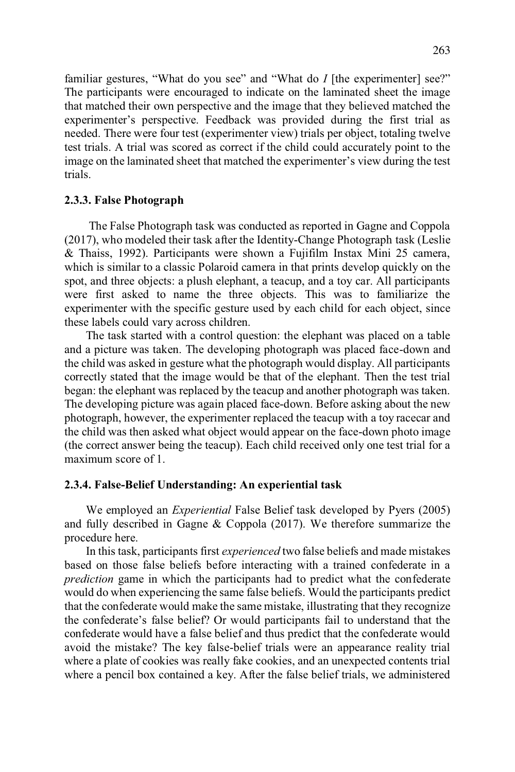familiar gestures, "What do you see" and "What do *I* [the experimenter] see?" The participants were encouraged to indicate on the laminated sheet the image that matched their own perspective and the image that they believed matched the experimenter's perspective. Feedback was provided during the first trial as needed. There were four test (experimenter view) trials per object, totaling twelve test trials. A trial was scored as correct if the child could accurately point to the image on the laminated sheet that matched the experimenter's view during the test trials.

#### **2.3.3. False Photograph**

The False Photograph task was conducted as reported in Gagne and Coppola (2017), who modeled their task after the Identity-Change Photograph task (Leslie & Thaiss, 1992). Participants were shown a Fujifilm Instax Mini 25 camera, which is similar to a classic Polaroid camera in that prints develop quickly on the spot, and three objects: a plush elephant, a teacup, and a toy car. All participants were first asked to name the three objects. This was to familiarize the experimenter with the specific gesture used by each child for each object, since these labels could vary across children.

The task started with a control question: the elephant was placed on a table and a picture was taken. The developing photograph was placed face-down and the child was asked in gesture what the photograph would display. All participants correctly stated that the image would be that of the elephant. Then the test trial began: the elephant was replaced by the teacup and another photograph was taken. The developing picture was again placed face-down. Before asking about the new photograph, however, the experimenter replaced the teacup with a toy racecar and the child was then asked what object would appear on the face-down photo image (the correct answer being the teacup). Each child received only one test trial for a maximum score of 1.

#### **2.3.4. False-Belief Understanding: An experiential task**

We employed an *Experiential* False Belief task developed by Pyers (2005) and fully described in Gagne & Coppola (2017). We therefore summarize the procedure here.

 In this task, participants first *experienced* two false beliefs and made mistakes based on those false beliefs before interacting with a trained confederate in a *prediction* game in which the participants had to predict what the confederate would do when experiencing the same false beliefs. Would the participants predict that the confederate would make the same mistake, illustrating that they recognize the confederate's false belief? Or would participants fail to understand that the confederate would have a false belief and thus predict that the confederate would avoid the mistake? The key false-belief trials were an appearance reality trial where a plate of cookies was really fake cookies, and an unexpected contents trial where a pencil box contained a key. After the false belief trials, we administered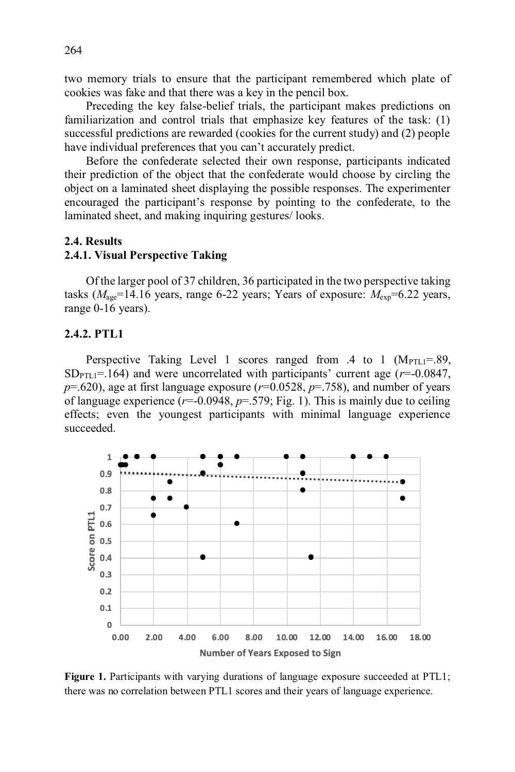two memory trials to ensure that the participant remembered which plate of cookies was fake and that there was a key in the pencil box.

 Preceding the key false-belief trials, the participant makes predictions on familiarization and control trials that emphasize key features of the task: (1) successful predictions are rewarded (cookies for the current study) and (2) people have individual preferences that you can't accurately predict.

Before the confederate selected their own response, participants indicated their prediction of the object that the confederate would choose by circling the object on a laminated sheet displaying the possible responses. The experimenter encouraged the participant's response by pointing to the confederate, to the laminated sheet, and making inquiring gestures/ looks.

## **2.4. Results**

## **2.4.1. Visual Perspective Taking**

Of the larger pool of 37 children, 36 participated in the two perspective taking tasks  $(M<sub>age</sub>=14.16$  years, range 6-22 years; Years of exposure:  $M<sub>exp</sub>=6.22$  years, range 0-16 years).

## **2.4.2. PTL1**

Perspective Taking Level 1 scores ranged from .4 to 1  $(M_{\text{PTL1}}=.89)$ ,  $SD<sub>PTLI</sub>=.164$ ) and were uncorrelated with participants' current age ( $r=0.0847$ , *p*=.620), age at first language exposure (*r*=0.0528, *p*=.758), and number of years of language experience (*r*=-0.0948, *p*=.579; Fig. 1). This is mainly due to ceiling effects; even the youngest participants with minimal language experience succeeded.



Figure 1. Participants with varying durations of language exposure succeeded at PTL1; there was no correlation between PTL1 scores and their years of language experience.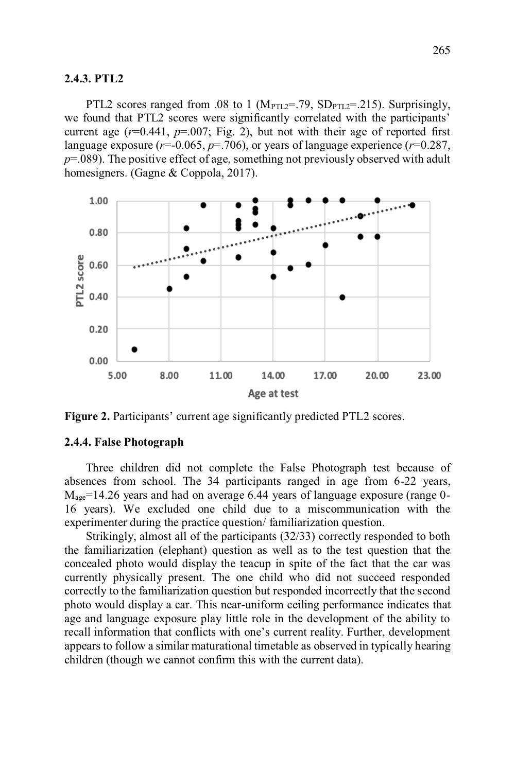## **2.4.3. PTL2**

PTL2 scores ranged from .08 to 1 ( $M_{\text{PTL2}}$ =.79,  $SD_{\text{PTL2}}$ =.215). Surprisingly, we found that PTL2 scores were significantly correlated with the participants' current age  $(r=0.441, p=.007$ ; Fig. 2), but not with their age of reported first language exposure ( $r=0.065$ ,  $p=.706$ ), or years of language experience ( $r=0.287$ , *p*=.089). The positive effect of age, something not previously observed with adult homesigners. (Gagne & Coppola, 2017).



**Figure 2.** Participants' current age significantly predicted PTL2 scores.

## **2.4.4. False Photograph**

Three children did not complete the False Photograph test because of absences from school. The 34 participants ranged in age from 6-22 years,  $M_{\text{age}}$ =14.26 years and had on average 6.44 years of language exposure (range 0-16 years). We excluded one child due to a miscommunication with the experimenter during the practice question/ familiarization question.

Strikingly, almost all of the participants (32/33) correctly responded to both the familiarization (elephant) question as well as to the test question that the concealed photo would display the teacup in spite of the fact that the car was currently physically present. The one child who did not succeed responded correctly to the familiarization question but responded incorrectly that the second photo would display a car. This near-uniform ceiling performance indicates that age and language exposure play little role in the development of the ability to recall information that conflicts with one's current reality. Further, development appears to follow a similar maturational timetable as observed in typically hearing children (though we cannot confirm this with the current data).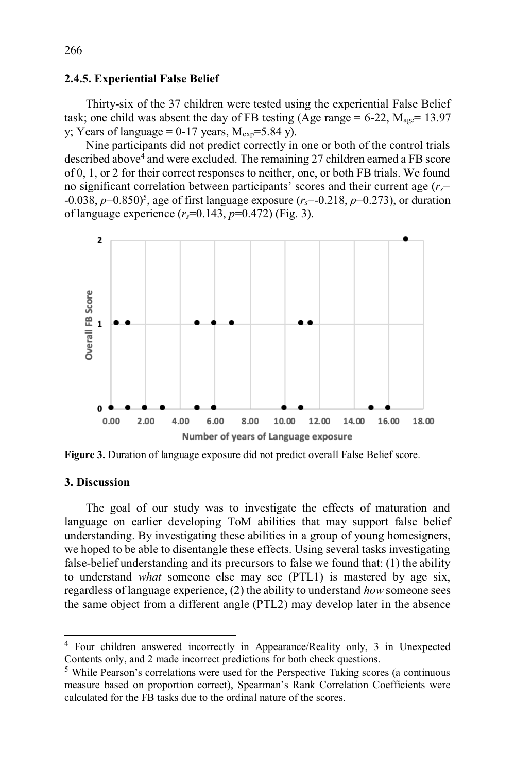## **2.4.5. Experiential False Belief**

Thirty-six of the 37 children were tested using the experiential False Belief task; one child was absent the day of FB testing (Age range  $= 6-22$ ,  $M_{\text{age}} = 13.97$ y; Years of language =  $0-17$  years,  $M_{\rm exp}$ =5.84 y).

 Nine participants did not predict correctly in one or both of the control trials described above<sup>4</sup> and were excluded. The remaining 27 children earned a FB score of 0, 1, or 2 for their correct responses to neither, one, or both FB trials. We found no significant correlation between participants' scores and their current age (*rs*= -0.038, *p*=0.850)5 , age of first language exposure (*rs*=-0.218, *p*=0.273), or duration of language experience (*rs*=0.143, *p*=0.472) (Fig. 3).



**Figure 3.** Duration of language exposure did not predict overall False Belief score.

## **3. Discussion**

 $\overline{a}$ 

 The goal of our study was to investigate the effects of maturation and language on earlier developing ToM abilities that may support false belief understanding. By investigating these abilities in a group of young homesigners, we hoped to be able to disentangle these effects. Using several tasks investigating false-belief understanding and its precursors to false we found that: (1) the ability to understand *what* someone else may see (PTL1) is mastered by age six, regardless of language experience, (2) the ability to understand *how* someone sees the same object from a different angle (PTL2) may develop later in the absence

<sup>4</sup> Four children answered incorrectly in Appearance/Reality only, 3 in Unexpected Contents only, and 2 made incorrect predictions for both check questions.

<sup>5</sup> While Pearson's correlations were used for the Perspective Taking scores (a continuous measure based on proportion correct), Spearman's Rank Correlation Coefficients were calculated for the FB tasks due to the ordinal nature of the scores.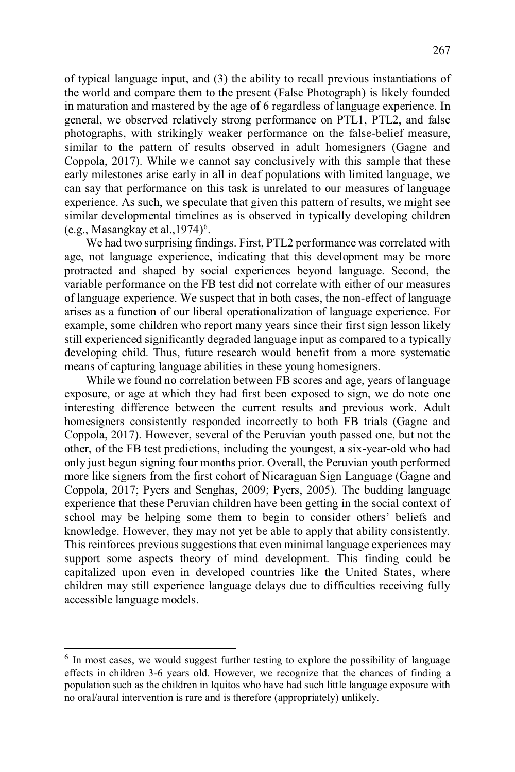of typical language input, and (3) the ability to recall previous instantiations of the world and compare them to the present (False Photograph) is likely founded in maturation and mastered by the age of 6 regardless of language experience. In general, we observed relatively strong performance on PTL1, PTL2, and false photographs, with strikingly weaker performance on the false-belief measure, similar to the pattern of results observed in adult homesigners (Gagne and Coppola, 2017). While we cannot say conclusively with this sample that these early milestones arise early in all in deaf populations with limited language, we can say that performance on this task is unrelated to our measures of language experience. As such, we speculate that given this pattern of results, we might see similar developmental timelines as is observed in typically developing children  $(e.g., Masangkay et al., 1974)<sup>6</sup>$ .

 We had two surprising findings. First, PTL2 performance was correlated with age, not language experience, indicating that this development may be more protracted and shaped by social experiences beyond language. Second, the variable performance on the FB test did not correlate with either of our measures of language experience. We suspect that in both cases, the non-effect of language arises as a function of our liberal operationalization of language experience. For example, some children who report many years since their first sign lesson likely still experienced significantly degraded language input as compared to a typically developing child. Thus, future research would benefit from a more systematic means of capturing language abilities in these young homesigners.

 While we found no correlation between FB scores and age, years of language exposure, or age at which they had first been exposed to sign, we do note one interesting difference between the current results and previous work. Adult homesigners consistently responded incorrectly to both FB trials (Gagne and Coppola, 2017). However, several of the Peruvian youth passed one, but not the other, of the FB test predictions, including the youngest, a six-year-old who had only just begun signing four months prior. Overall, the Peruvian youth performed more like signers from the first cohort of Nicaraguan Sign Language (Gagne and Coppola, 2017; Pyers and Senghas, 2009; Pyers, 2005). The budding language experience that these Peruvian children have been getting in the social context of school may be helping some them to begin to consider others' beliefs and knowledge. However, they may not yet be able to apply that ability consistently. This reinforces previous suggestions that even minimal language experiences may support some aspects theory of mind development. This finding could be capitalized upon even in developed countries like the United States, where children may still experience language delays due to difficulties receiving fully accessible language models.

 $\overline{a}$ 

<sup>&</sup>lt;sup>6</sup> In most cases, we would suggest further testing to explore the possibility of language effects in children 3-6 years old. However, we recognize that the chances of finding a population such as the children in Iquitos who have had such little language exposure with no oral/aural intervention is rare and is therefore (appropriately) unlikely.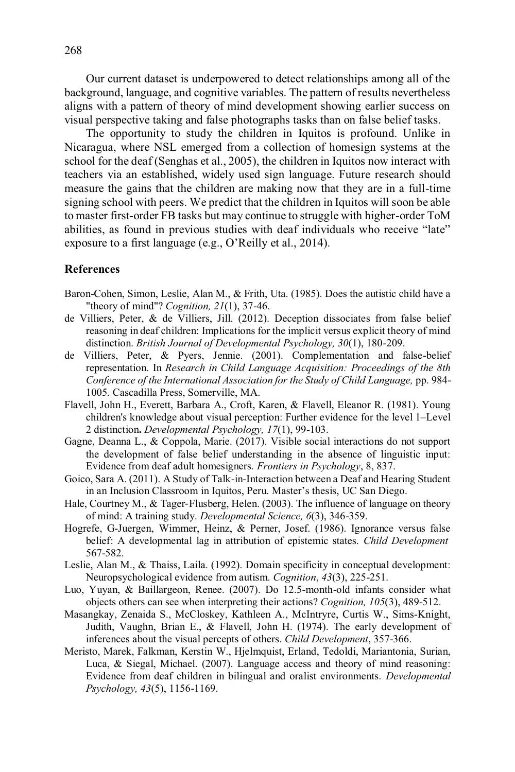Our current dataset is underpowered to detect relationships among all of the background, language, and cognitive variables. The pattern of results nevertheless aligns with a pattern of theory of mind development showing earlier success on visual perspective taking and false photographs tasks than on false belief tasks.

 The opportunity to study the children in Iquitos is profound. Unlike in Nicaragua, where NSL emerged from a collection of homesign systems at the school for the deaf (Senghas et al., 2005), the children in Iquitos now interact with teachers via an established, widely used sign language. Future research should measure the gains that the children are making now that they are in a full-time signing school with peers. We predict that the children in Iquitos will soon be able to master first-order FB tasks but may continue to struggle with higher-order ToM abilities, as found in previous studies with deaf individuals who receive "late" exposure to a first language (e.g., O'Reilly et al., 2014).

## **References**

- Baron-Cohen, Simon, Leslie, Alan M., & Frith, Uta. (1985). Does the autistic child have a "theory of mind"? *Cognition, 21*(1), 37-46.
- de Villiers, Peter, & de Villiers, Jill. (2012). Deception dissociates from false belief reasoning in deaf children: Implications for the implicit versus explicit theory of mind distinction. *British Journal of Developmental Psychology, 30*(1), 180-209.
- de Villiers, Peter, & Pyers, Jennie. (2001). Complementation and false-belief representation. In *Research in Child Language Acquisition: Proceedings of the 8th Conference of the International Association for the Study of Child Language,* pp. 984- 1005*.* Cascadilla Press, Somerville, MA.
- Flavell, John H., Everett, Barbara A., Croft, Karen, & Flavell, Eleanor R. (1981). Young children's knowledge about visual perception: Further evidence for the level 1–Level 2 distinction**.** *Developmental Psychology, 17*(1), 99-103.
- Gagne, Deanna L., & Coppola, Marie. (2017). Visible social interactions do not support the development of false belief understanding in the absence of linguistic input: Evidence from deaf adult homesigners. *Frontiers in Psychology*, 8, 837.
- Goico, Sara A. (2011). A Study of Talk-in-Interaction between a Deaf and Hearing Student in an Inclusion Classroom in Iquitos, Peru. Master's thesis, UC San Diego.
- Hale, Courtney M., & Tager-Flusberg, Helen. (2003). The influence of language on theory of mind: A training study. *Developmental Science, 6*(3), 346-359.
- Hogrefe, G-Juergen, Wimmer, Heinz, & Perner, Josef. (1986). Ignorance versus false belief: A developmental lag in attribution of epistemic states. *Child Development* 567-582.
- Leslie, Alan M., & Thaiss, Laila. (1992). Domain specificity in conceptual development: Neuropsychological evidence from autism. *Cognition*, *43*(3), 225-251.
- Luo, Yuyan, & Baillargeon, Renee. (2007). Do 12.5-month-old infants consider what objects others can see when interpreting their actions? *Cognition, 105*(3), 489-512.
- Masangkay, Zenaida S., McCloskey, Kathleen A., McIntryre, Curtis W., Sims-Knight, Judith, Vaughn, Brian E., & Flavell, John H. (1974). The early development of inferences about the visual percepts of others. *Child Development*, 357-366.
- Meristo, Marek, Falkman, Kerstin W., Hjelmquist, Erland, Tedoldi, Mariantonia, Surian, Luca, & Siegal, Michael. (2007). Language access and theory of mind reasoning: Evidence from deaf children in bilingual and oralist environments. *Developmental Psychology, 43*(5), 1156-1169.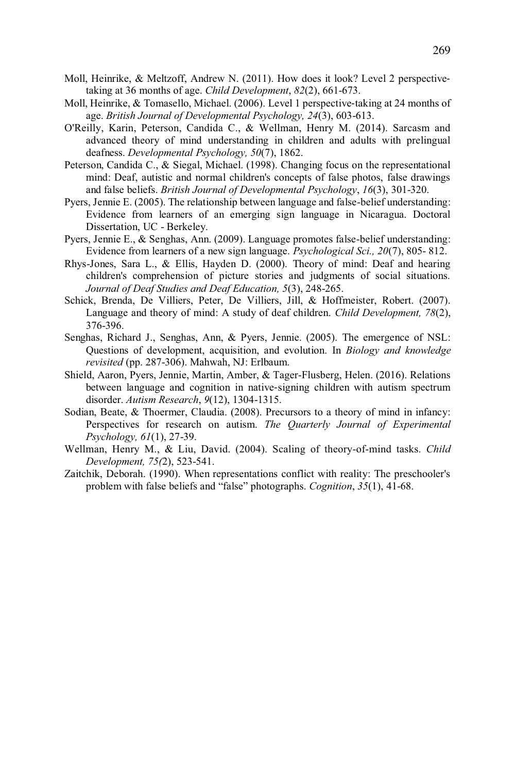- Moll, Heinrike, & Meltzoff, Andrew N. (2011). How does it look? Level 2 perspectivetaking at 36 months of age. *Child Development*, *82*(2), 661-673.
- Moll, Heinrike, & Tomasello, Michael. (2006). Level 1 perspective-taking at 24 months of age. *British Journal of Developmental Psychology, 24*(3), 603-613.
- O'Reilly, Karin, Peterson, Candida C., & Wellman, Henry M. (2014). Sarcasm and advanced theory of mind understanding in children and adults with prelingual deafness. *Developmental Psychology, 50*(7), 1862.
- Peterson, Candida C., & Siegal, Michael. (1998). Changing focus on the representational mind: Deaf, autistic and normal children's concepts of false photos, false drawings and false beliefs. *British Journal of Developmental Psychology*, *16*(3), 301-320.
- Pyers, Jennie E. (2005). The relationship between language and false-belief understanding: Evidence from learners of an emerging sign language in Nicaragua. Doctoral Dissertation, UC - Berkeley.
- Pyers, Jennie E., & Senghas, Ann. (2009). Language promotes false-belief understanding: Evidence from learners of a new sign language. *Psychological Sci., 20*(7), 805- 812.
- Rhys-Jones, Sara L., & Ellis, Hayden D. (2000). Theory of mind: Deaf and hearing children's comprehension of picture stories and judgments of social situations. *Journal of Deaf Studies and Deaf Education, 5*(3), 248-265.
- Schick, Brenda, De Villiers, Peter, De Villiers, Jill, & Hoffmeister, Robert. (2007). Language and theory of mind: A study of deaf children. *Child Development, 78*(2), 376-396.
- Senghas, Richard J., Senghas, Ann, & Pyers, Jennie. (2005). The emergence of NSL: Questions of development, acquisition, and evolution. In *Biology and knowledge revisited* (pp. 287-306). Mahwah, NJ: Erlbaum.
- Shield, Aaron, Pyers, Jennie, Martin, Amber, & Tager-Flusberg, Helen. (2016). Relations between language and cognition in native-signing children with autism spectrum disorder. *Autism Research*, *9*(12), 1304-1315.
- Sodian, Beate, & Thoermer, Claudia. (2008). Precursors to a theory of mind in infancy: Perspectives for research on autism. *The Quarterly Journal of Experimental Psychology, 61*(1), 27-39.
- Wellman, Henry M., & Liu, David. (2004). Scaling of theory-of-mind tasks. *Child Development, 75(*2), 523-541.
- Zaitchik, Deborah. (1990). When representations conflict with reality: The preschooler's problem with false beliefs and "false" photographs. *Cognition*, *35*(1), 41-68.